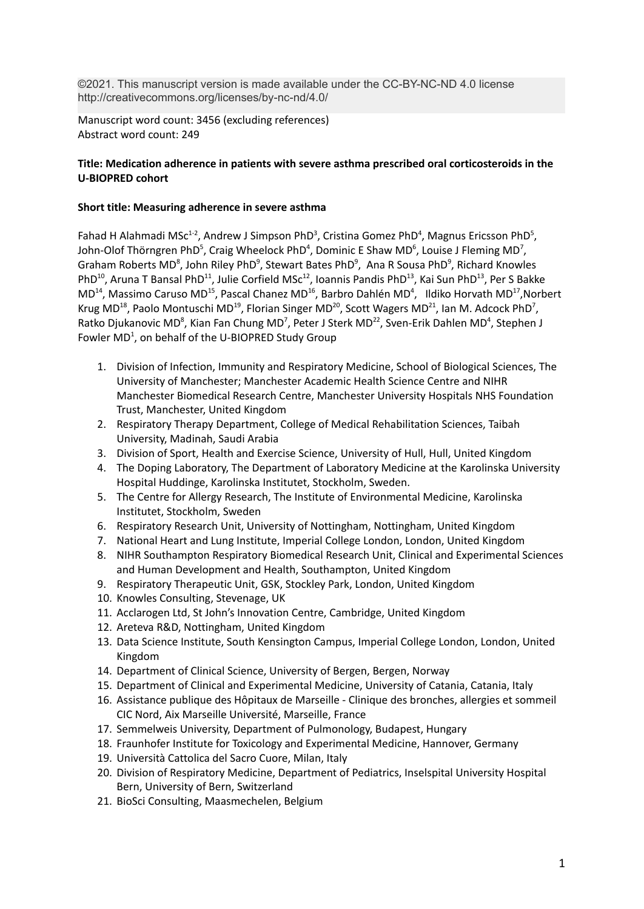©2021. This manuscript version is made available under the CC-BY-NC-ND 4.0 license http://creativecommons.org/licenses/by-nc-nd/4.0/

Manuscript word count: 3456 (excluding references) Abstract word count: 249

# **Title: Medication adherence in patients with severe asthma prescribed oral corticosteroids in the U-BIOPRED cohort**

# **Short title: Measuring adherence in severe asthma**

Fahad H Alahmadi MSc<sup>1-2</sup>, Andrew J Simpson PhD<sup>3</sup>, Cristina Gomez PhD<sup>4</sup>, Magnus Ericsson PhD<sup>5</sup>, John-Olof Thörngren PhD<sup>5</sup>, Craig Wheelock PhD<sup>4</sup>, Dominic E Shaw MD<sup>6</sup>, Louise J Fleming MD<sup>7</sup>, Graham Roberts MD<sup>8</sup>, John Riley PhD<sup>9</sup>, Stewart Bates PhD<sup>9</sup>, Ana R Sousa PhD<sup>9</sup>, Richard Knowles PhD<sup>10</sup>, Aruna T Bansal PhD<sup>11</sup>, Julie Corfield MSc<sup>12</sup>, Ioannis Pandis PhD<sup>13</sup>, Kai Sun PhD<sup>13</sup>, Per S Bakke  $MD^{14}$ , Massimo Caruso MD<sup>15</sup>, Pascal Chanez MD<sup>16</sup>, Barbro Dahlén MD<sup>4</sup>, Ildiko Horvath MD<sup>17</sup>, Norbert Krug MD<sup>18</sup>, Paolo Montuschi MD<sup>19</sup>, Florian Singer MD<sup>20</sup>, Scott Wagers MD<sup>21</sup>, Ian M. Adcock PhD<sup>7</sup>, Ratko Djukanovic MD<sup>8</sup>, Kian Fan Chung MD<sup>7</sup>, Peter J Sterk MD<sup>22</sup>, Sven-Erik Dahlen MD<sup>4</sup>, Stephen J Fowler MD<sup>1</sup>, on behalf of the U-BIOPRED Study Group

- 1. Division of Infection, Immunity and Respiratory Medicine, School of Biological Sciences, The University of Manchester; Manchester Academic Health Science Centre and NIHR Manchester Biomedical Research Centre, Manchester University Hospitals NHS Foundation Trust, Manchester, United Kingdom
- 2. Respiratory Therapy Department, College of Medical Rehabilitation Sciences, Taibah University, Madinah, Saudi Arabia
- 3. Division of Sport, Health and Exercise Science, University of Hull, Hull, United Kingdom
- 4. The Doping Laboratory, The Department of Laboratory Medicine at the Karolinska University Hospital Huddinge, Karolinska Institutet, Stockholm, Sweden.
- 5. The Centre for Allergy Research, The Institute of Environmental Medicine, Karolinska Institutet, Stockholm, Sweden
- 6. Respiratory Research Unit, University of Nottingham, Nottingham, United Kingdom
- 7. National Heart and Lung Institute, Imperial College London, London, United Kingdom
- 8. NIHR Southampton Respiratory Biomedical Research Unit, Clinical and Experimental Sciences and Human Development and Health, Southampton, United Kingdom
- 9. Respiratory Therapeutic Unit, GSK, Stockley Park, London, United Kingdom
- 10. Knowles Consulting, Stevenage, UK
- 11. Acclarogen Ltd, St John's Innovation Centre, Cambridge, United Kingdom
- 12. Areteva R&D, Nottingham, United Kingdom
- 13. Data Science Institute, South Kensington Campus, Imperial College London, London, United Kingdom
- 14. Department of Clinical Science, University of Bergen, Bergen, Norway
- 15. Department of Clinical and Experimental Medicine, University of Catania, Catania, Italy
- 16. Assistance publique des Hôpitaux de Marseille Clinique des bronches, allergies et sommeil CIC Nord, Aix Marseille Université, Marseille, France
- 17. Semmelweis University, Department of Pulmonology, Budapest, Hungary
- 18. Fraunhofer Institute for Toxicology and Experimental Medicine, Hannover, Germany
- 19. Università Cattolica del Sacro Cuore, Milan, Italy
- 20. Division of Respiratory Medicine, Department of Pediatrics, Inselspital University Hospital Bern, University of Bern, Switzerland
- 21. BioSci Consulting, Maasmechelen, Belgium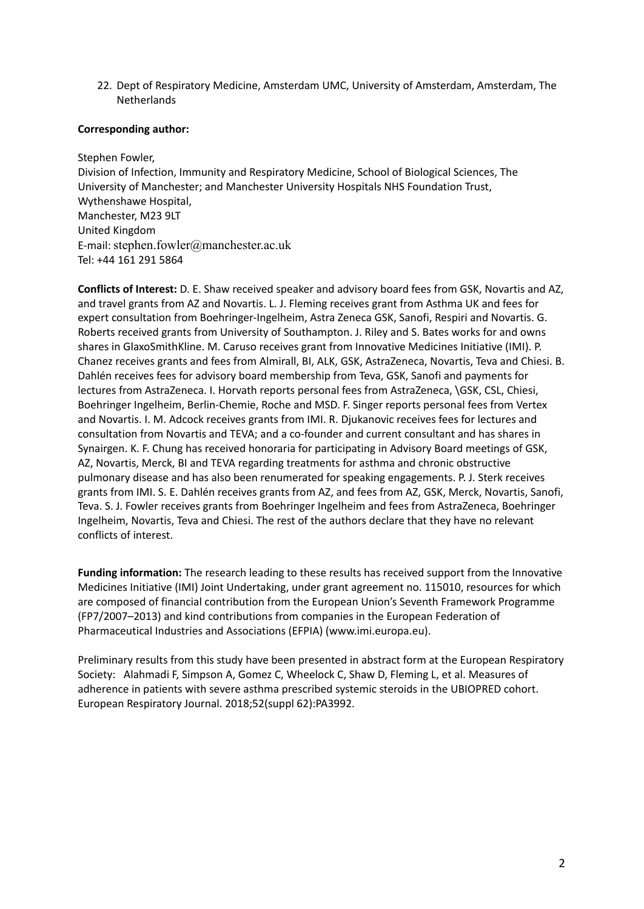22. Dept of Respiratory Medicine, Amsterdam UMC, University of Amsterdam, Amsterdam, The **Netherlands** 

# **Corresponding author:**

Stephen Fowler, Division of Infection, Immunity and Respiratory Medicine, School of Biological Sciences, The University of Manchester; and Manchester University Hospitals NHS Foundation Trust, Wythenshawe Hospital, Manchester, M23 9LT United Kingdom E-mail: stephen.fowler@manchester.ac.uk Tel: +44 161 291 5864

**Conflicts of Interest:** D. E. Shaw received speaker and advisory board fees from GSK, Novartis and AZ, and travel grants from AZ and Novartis. L. J. Fleming receives grant from Asthma UK and fees for expert consultation from Boehringer-Ingelheim, Astra Zeneca GSK, Sanofi, Respiri and Novartis. G. Roberts received grants from University of Southampton. J. Riley and S. Bates works for and owns shares in GlaxoSmithKline. M. Caruso receives grant from Innovative Medicines Initiative (IMI). P. Chanez receives grants and fees from Almirall, BI, ALK, GSK, AstraZeneca, Novartis, Teva and Chiesi. B. Dahlén receives fees for advisory board membership from Teva, GSK, Sanofi and payments for lectures from AstraZeneca. I. Horvath reports personal fees from AstraZeneca, \GSK, CSL, Chiesi, Boehringer Ingelheim, Berlin-Chemie, Roche and MSD. F. Singer reports personal fees from Vertex and Novartis. I. M. Adcock receives grants from IMI. R. Djukanovic receives fees for lectures and consultation from Novartis and TEVA; and a co-founder and current consultant and has shares in Synairgen. K. F. Chung has received honoraria for participating in Advisory Board meetings of GSK, AZ, Novartis, Merck, BI and TEVA regarding treatments for asthma and chronic obstructive pulmonary disease and has also been renumerated for speaking engagements. P. J. Sterk receives grants from IMI. S. E. Dahlén receives grants from AZ, and fees from AZ, GSK, Merck, Novartis, Sanofi, Teva. S. J. Fowler receives grants from Boehringer Ingelheim and fees from AstraZeneca, Boehringer Ingelheim, Novartis, Teva and Chiesi. The rest of the authors declare that they have no relevant conflicts of interest.

**Funding information:** The research leading to these results has received support from the Innovative Medicines Initiative (IMI) Joint Undertaking, under grant agreement no. 115010, resources for which are composed of financial contribution from the European Union's Seventh Framework Programme (FP7/2007–2013) and kind contributions from companies in the European Federation of Pharmaceutical Industries and Associations (EFPIA) (www.imi.europa.eu).

Preliminary results from this study have been presented in abstract form at the European Respiratory Society: Alahmadi F, Simpson A, Gomez C, Wheelock C, Shaw D, Fleming L, et al. Measures of adherence in patients with severe asthma prescribed systemic steroids in the UBIOPRED cohort. European Respiratory Journal. 2018;52(suppl 62):PA3992.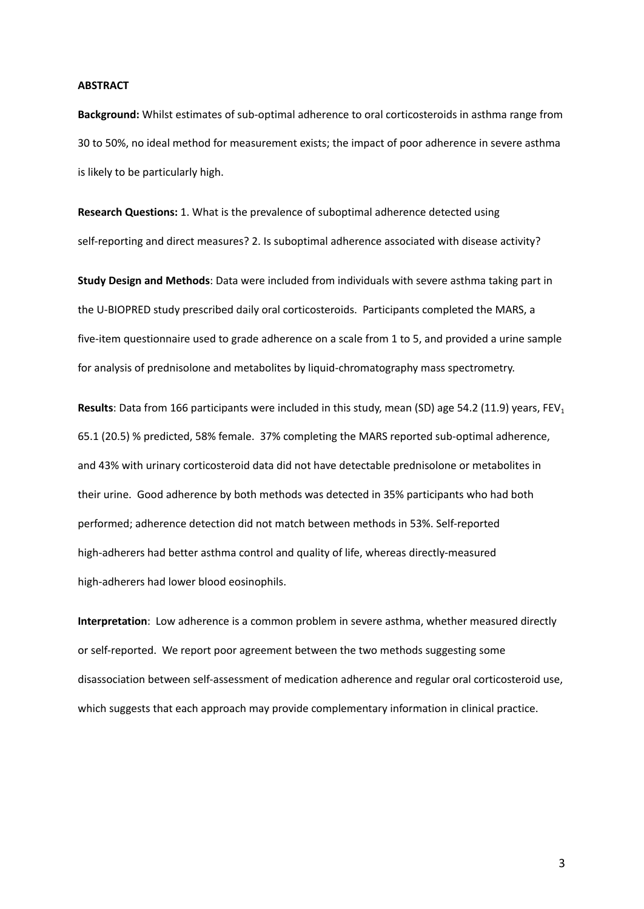### **ABSTRACT**

**Background:** Whilst estimates of sub-optimal adherence to oral corticosteroids in asthma range from 30 to 50%, no ideal method for measurement exists; the impact of poor adherence in severe asthma is likely to be particularly high.

**Research Questions:** 1. What is the prevalence of suboptimal adherence detected using self-reporting and direct measures? 2. Is suboptimal adherence associated with disease activity?

**Study Design and Methods**: Data were included from individuals with severe asthma taking part in the U-BIOPRED study prescribed daily oral corticosteroids. Participants completed the MARS, a five-item questionnaire used to grade adherence on a scale from 1 to 5, and provided a urine sample for analysis of prednisolone and metabolites by liquid-chromatography mass spectrometry.

**Results**: Data from 166 participants were included in this study, mean (SD) age 54.2 (11.9) years, FEV<sub>1</sub> 65.1 (20.5) % predicted, 58% female. 37% completing the MARS reported sub-optimal adherence, and 43% with urinary corticosteroid data did not have detectable prednisolone or metabolites in their urine. Good adherence by both methods was detected in 35% participants who had both performed; adherence detection did not match between methods in 53%. Self-reported high-adherers had better asthma control and quality of life, whereas directly-measured high-adherers had lower blood eosinophils.

**Interpretation**: Low adherence is a common problem in severe asthma, whether measured directly or self-reported. We report poor agreement between the two methods suggesting some disassociation between self-assessment of medication adherence and regular oral corticosteroid use, which suggests that each approach may provide complementary information in clinical practice.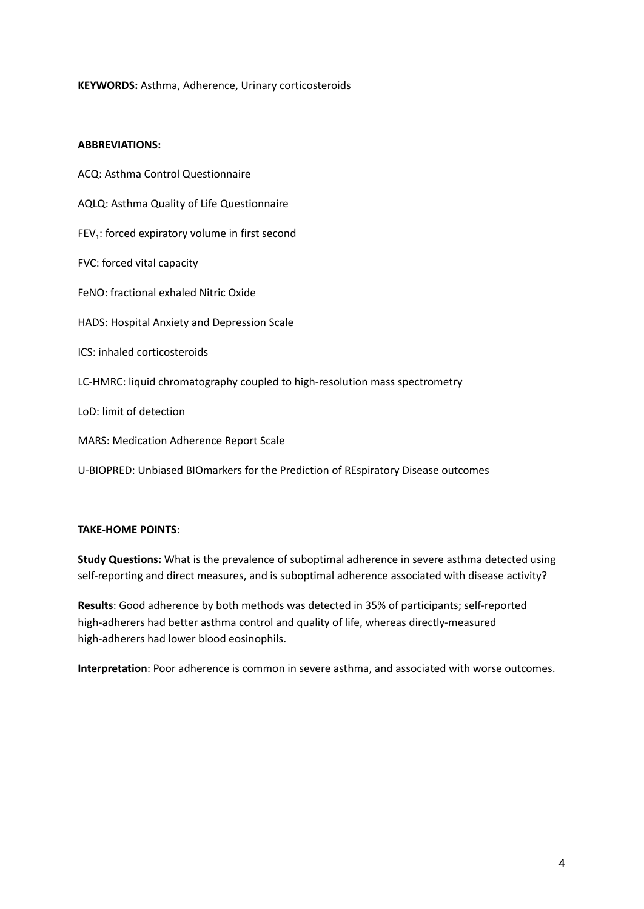# **KEYWORDS:** Asthma, Adherence, Urinary corticosteroids

## **ABBREVIATIONS:**

ACQ: Asthma Control Questionnaire AQLQ: Asthma Quality of Life Questionnaire  $FEV<sub>1</sub>$ : forced expiratory volume in first second FVC: forced vital capacity FeNO: fractional exhaled Nitric Oxide HADS: Hospital Anxiety and Depression Scale ICS: inhaled corticosteroids LC-HMRC: liquid chromatography coupled to high-resolution mass spectrometry LoD: limit of detection MARS: Medication Adherence Report Scale U-BIOPRED: Unbiased BIOmarkers for the Prediction of REspiratory Disease outcomes

# **TAKE-HOME POINTS**:

**Study Questions:** What is the prevalence of suboptimal adherence in severe asthma detected using self-reporting and direct measures, and is suboptimal adherence associated with disease activity?

**Results**: Good adherence by both methods was detected in 35% of participants; self-reported high-adherers had better asthma control and quality of life, whereas directly-measured high-adherers had lower blood eosinophils.

**Interpretation**: Poor adherence is common in severe asthma, and associated with worse outcomes.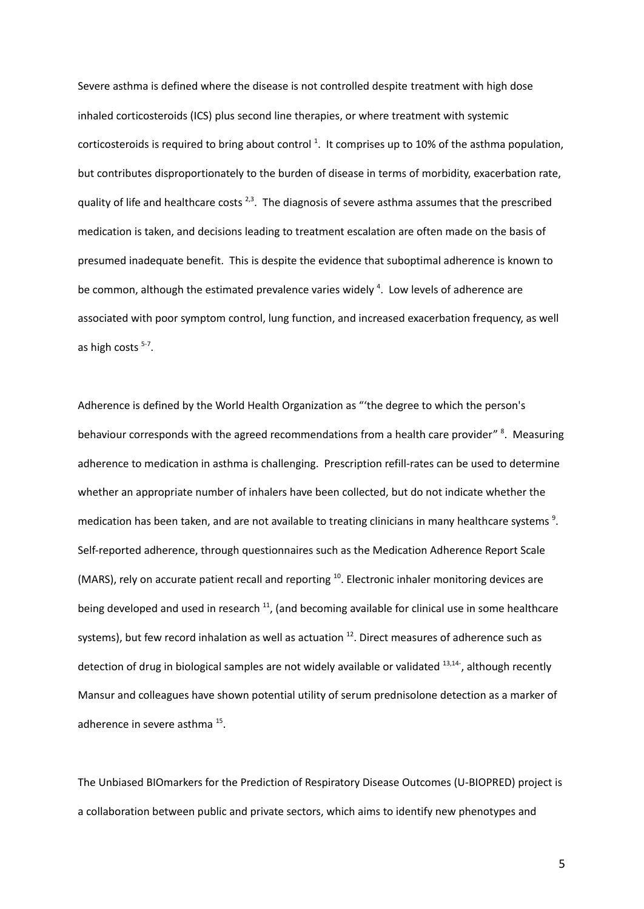Severe asthma is defined where the disease is not controlled despite treatment with high dose inhaled corticosteroids (ICS) plus second line therapies, or where treatment with systemic corticosteroids is required to bring about control <sup>1</sup>. It comprises up to 10% of the asthma population, but contributes disproportionately to the burden of disease in terms of morbidity, exacerbation rate, quality of life and healthcare costs  $^{2,3}$ . The diagnosis of severe asthma assumes that the prescribed medication is taken, and decisions leading to treatment escalation are often made on the basis of presumed inadequate benefit. This is despite the evidence that suboptimal adherence is known to be common, although the estimated prevalence varies widely<sup>4</sup>. Low levels of adherence are associated with poor symptom control, lung function, and increased exacerbation frequency, as well as high costs <sup>5-7</sup>.

Adherence is defined by the World Health Organization as "'the degree to which the person's behaviour corresponds with the agreed recommendations from a health care provider" <sup>8</sup>. Measuring adherence to medication in asthma is challenging. Prescription refill-rates can be used to determine whether an appropriate number of inhalers have been collected, but do not indicate whether the medication has been taken, and are not available to treating clinicians in many healthcare systems  $9$ . Self-reported adherence, through questionnaires such as the Medication Adherence Report Scale (MARS), rely on accurate patient recall and reporting <sup>10</sup>. Electronic inhaler monitoring devices are being developed and used in research <sup>11</sup>, (and becoming available for clinical use in some healthcare systems), but few record inhalation as well as actuation <sup>12</sup>. Direct measures of adherence such as detection of drug in biological samples are not widely available or validated <sup>13,14-</sup>, although recently Mansur and colleagues have shown potential utility of serum prednisolone detection as a marker of adherence in severe asthma <sup>15</sup>.

The Unbiased BIOmarkers for the Prediction of Respiratory Disease Outcomes (U-BIOPRED) project is a collaboration between public and private sectors, which aims to identify new phenotypes and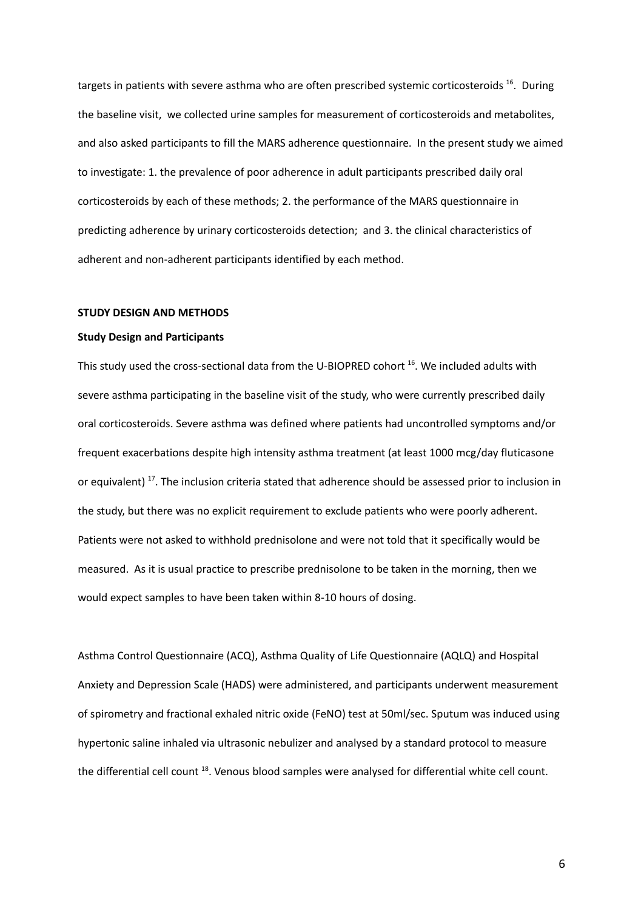targets in patients with severe asthma who are often prescribed systemic corticosteroids <sup>16</sup>. During the baseline visit, we collected urine samples for measurement of corticosteroids and metabolites, and also asked participants to fill the MARS adherence questionnaire. In the present study we aimed to investigate: 1. the prevalence of poor adherence in adult participants prescribed daily oral corticosteroids by each of these methods; 2. the performance of the MARS questionnaire in predicting adherence by urinary corticosteroids detection; and 3. the clinical characteristics of adherent and non-adherent participants identified by each method.

### **STUDY DESIGN AND METHODS**

### **Study Design and Participants**

This study used the cross-sectional data from the U-BIOPRED cohort <sup>16</sup>. We included adults with severe asthma participating in the baseline visit of the study, who were currently prescribed daily oral corticosteroids. Severe asthma was defined where patients had uncontrolled symptoms and/or frequent exacerbations despite high intensity asthma treatment (at least 1000 mcg/day fluticasone or equivalent)<sup>17</sup>. The inclusion criteria stated that adherence should be assessed prior to inclusion in the study, but there was no explicit requirement to exclude patients who were poorly adherent. Patients were not asked to withhold prednisolone and were not told that it specifically would be measured. As it is usual practice to prescribe prednisolone to be taken in the morning, then we would expect samples to have been taken within 8-10 hours of dosing.

Asthma Control Questionnaire (ACQ), Asthma Quality of Life Questionnaire (AQLQ) and Hospital Anxiety and Depression Scale (HADS) were administered, and participants underwent measurement of spirometry and fractional exhaled nitric oxide (FeNO) test at 50ml/sec. Sputum was induced using hypertonic saline inhaled via ultrasonic nebulizer and analysed by a standard protocol to measure the differential cell count <sup>18</sup>. Venous blood samples were analysed for differential white cell count.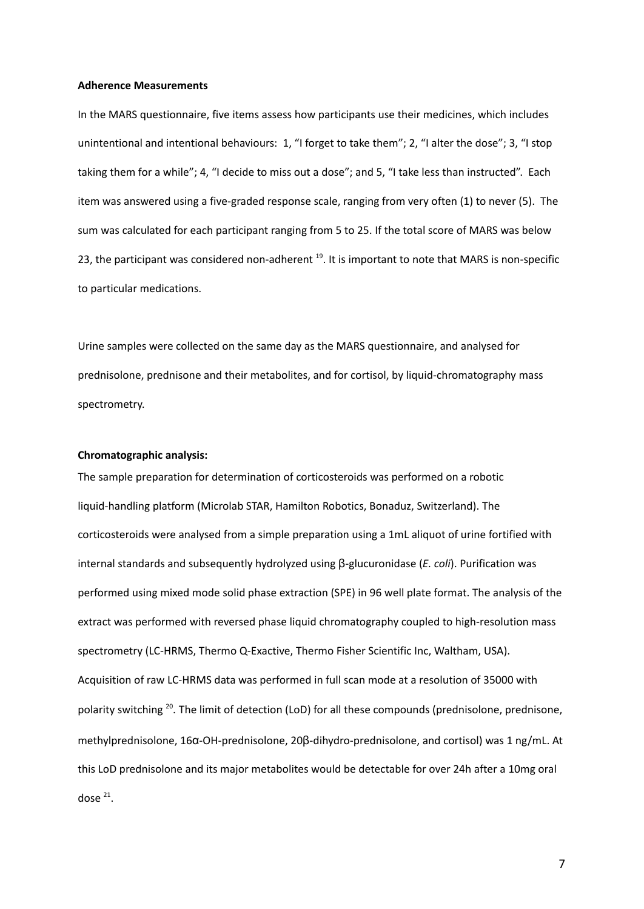#### **Adherence Measurements**

In the MARS questionnaire, five items assess how participants use their medicines, which includes unintentional and intentional behaviours: 1, "I forget to take them"; 2, "I alter the dose"; 3, "I stop taking them for a while"; 4, "I decide to miss out a dose"; and 5, "I take less than instructed". Each item was answered using a five-graded response scale, ranging from very often (1) to never (5). The sum was calculated for each participant ranging from 5 to 25. If the total score of MARS was below 23, the participant was considered non-adherent <sup>19</sup>. It is important to note that MARS is non-specific to particular medications.

Urine samples were collected on the same day as the MARS questionnaire, and analysed for prednisolone, prednisone and their metabolites, and for cortisol, by liquid-chromatography mass spectrometry.

### **Chromatographic analysis:**

The sample preparation for determination of corticosteroids was performed on a robotic liquid-handling platform (Microlab STAR, Hamilton Robotics, Bonaduz, Switzerland). The corticosteroids were analysed from a simple preparation using a 1mL aliquot of urine fortified with internal standards and subsequently hydrolyzed using β-glucuronidase (*E. coli*). Purification was performed using mixed mode solid phase extraction (SPE) in 96 well plate format. The analysis of the extract was performed with reversed phase liquid chromatography coupled to high-resolution mass spectrometry (LC-HRMS, Thermo Q-Exactive, Thermo Fisher Scientific Inc, Waltham, USA). Acquisition of raw LC-HRMS data was performed in full scan mode at a resolution of 35000 with polarity switching <sup>20</sup>. The limit of detection (LoD) for all these compounds (prednisolone, prednisone, methylprednisolone, 16α-OH-prednisolone, 20β-dihydro-prednisolone, and cortisol) was 1 ng/mL. At this LoD prednisolone and its major metabolites would be detectable for over 24h after a 10mg oral dose  $21$ .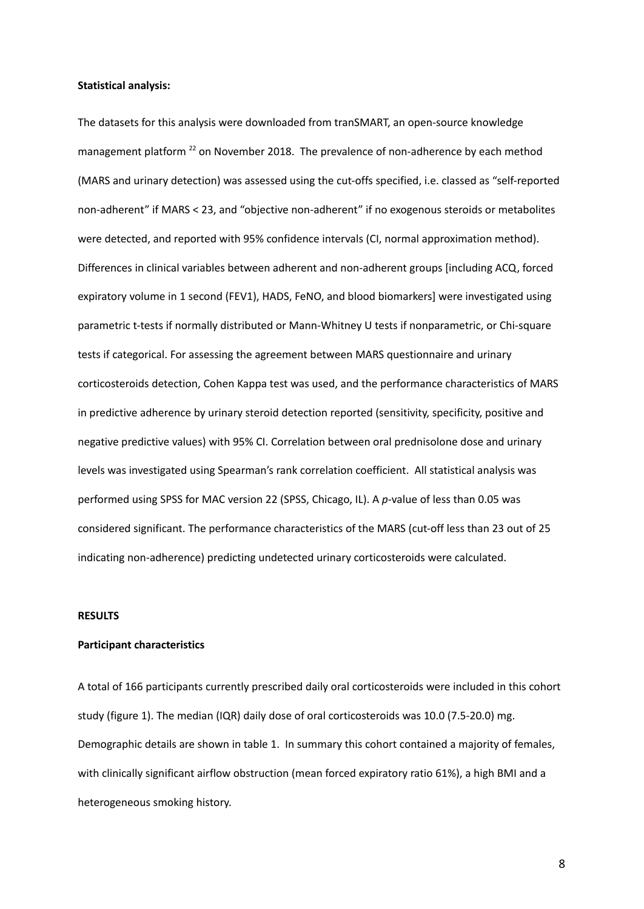#### **Statistical analysis:**

The datasets for this analysis were downloaded from tranSMART, an open‐source knowledge management platform<sup>22</sup> on November 2018. The prevalence of non-adherence by each method (MARS and urinary detection) was assessed using the cut-offs specified, i.e. classed as "self-reported non-adherent" if MARS < 23, and "objective non-adherent" if no exogenous steroids or metabolites were detected, and reported with 95% confidence intervals (CI, normal approximation method). Differences in clinical variables between adherent and non-adherent groups [including ACQ, forced expiratory volume in 1 second (FEV1), HADS, FeNO, and blood biomarkers] were investigated using parametric t-tests if normally distributed or Mann-Whitney U tests if nonparametric, or Chi-square tests if categorical. For assessing the agreement between MARS questionnaire and urinary corticosteroids detection, Cohen Kappa test was used, and the performance characteristics of MARS in predictive adherence by urinary steroid detection reported (sensitivity, specificity, positive and negative predictive values) with 95% CI. Correlation between oral prednisolone dose and urinary levels was investigated using Spearman's rank correlation coefficient. All statistical analysis was performed using SPSS for MAC version 22 (SPSS, Chicago, IL). A *p-*value of less than 0.05 was considered significant. The performance characteristics of the MARS (cut-off less than 23 out of 25 indicating non-adherence) predicting undetected urinary corticosteroids were calculated.

#### **RESULTS**

### **Participant characteristics**

A total of 166 participants currently prescribed daily oral corticosteroids were included in this cohort study (figure 1). The median (IQR) daily dose of oral corticosteroids was 10.0 (7.5-20.0) mg. Demographic details are shown in table 1. In summary this cohort contained a majority of females, with clinically significant airflow obstruction (mean forced expiratory ratio 61%), a high BMI and a heterogeneous smoking history.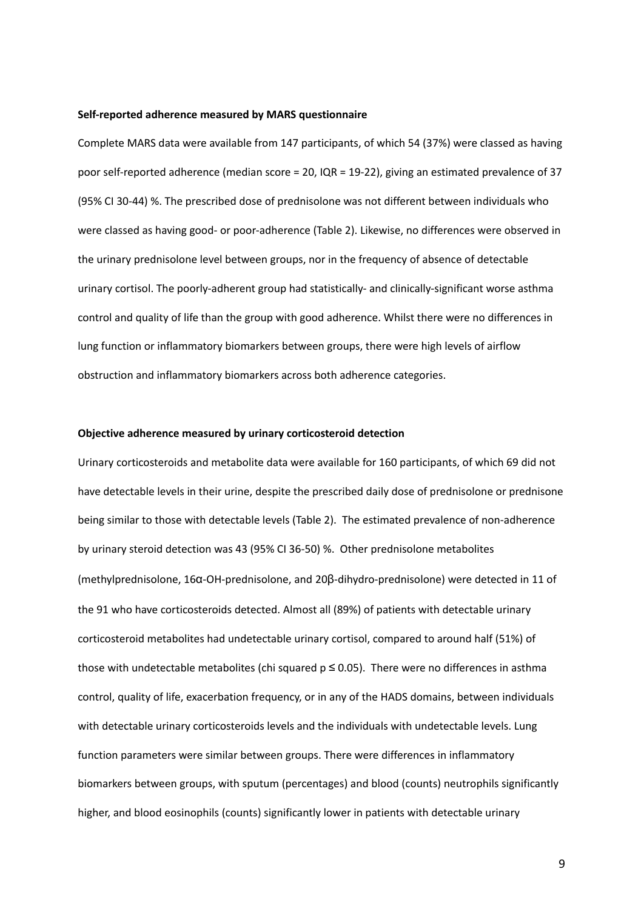### **Self-reported adherence measured by MARS questionnaire**

Complete MARS data were available from 147 participants, of which 54 (37%) were classed as having poor self-reported adherence (median score = 20, IQR = 19-22), giving an estimated prevalence of 37 (95% CI 30-44) %. The prescribed dose of prednisolone was not different between individuals who were classed as having good- or poor-adherence (Table 2). Likewise, no differences were observed in the urinary prednisolone level between groups, nor in the frequency of absence of detectable urinary cortisol. The poorly-adherent group had statistically- and clinically-significant worse asthma control and quality of life than the group with good adherence. Whilst there were no differences in lung function or inflammatory biomarkers between groups, there were high levels of airflow obstruction and inflammatory biomarkers across both adherence categories.

### **Objective adherence measured by urinary corticosteroid detection**

Urinary corticosteroids and metabolite data were available for 160 participants, of which 69 did not have detectable levels in their urine, despite the prescribed daily dose of prednisolone or prednisone being similar to those with detectable levels (Table 2). The estimated prevalence of non-adherence by urinary steroid detection was 43 (95% CI 36-50) %. Other prednisolone metabolites (methylprednisolone, 16α-OH-prednisolone, and 20β-dihydro-prednisolone) were detected in 11 of the 91 who have corticosteroids detected. Almost all (89%) of patients with detectable urinary corticosteroid metabolites had undetectable urinary cortisol, compared to around half (51%) of those with undetectable metabolites (chi squared  $p \le 0.05$ ). There were no differences in asthma control, quality of life, exacerbation frequency, or in any of the HADS domains, between individuals with detectable urinary corticosteroids levels and the individuals with undetectable levels. Lung function parameters were similar between groups. There were differences in inflammatory biomarkers between groups, with sputum (percentages) and blood (counts) neutrophils significantly higher, and blood eosinophils (counts) significantly lower in patients with detectable urinary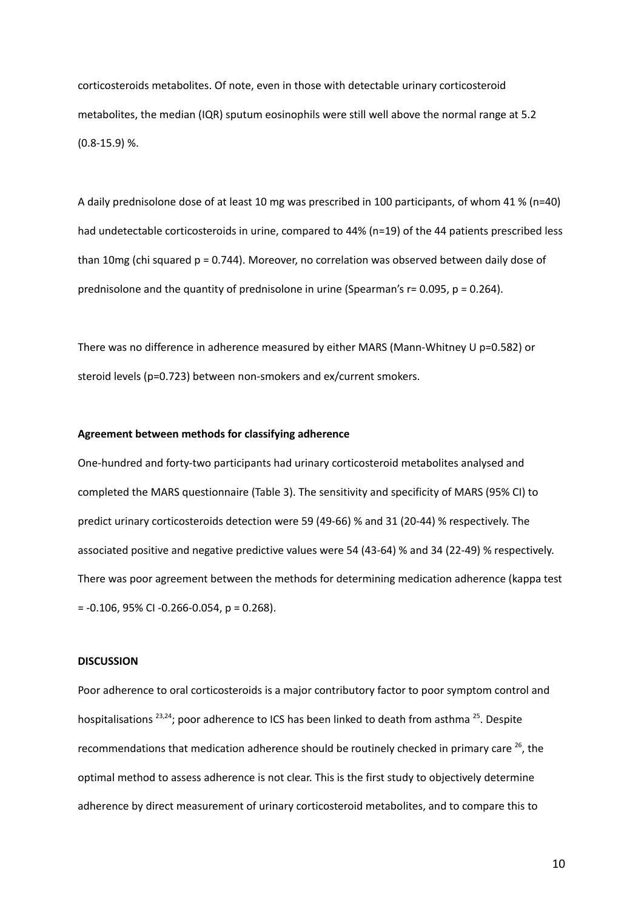corticosteroids metabolites. Of note, even in those with detectable urinary corticosteroid metabolites, the median (IQR) sputum eosinophils were still well above the normal range at 5.2  $(0.8 - 15.9)$ %.

A daily prednisolone dose of at least 10 mg was prescribed in 100 participants, of whom 41 % (n=40) had undetectable corticosteroids in urine, compared to 44% (n=19) of the 44 patients prescribed less than 10mg (chi squared p = 0.744). Moreover, no correlation was observed between daily dose of prednisolone and the quantity of prednisolone in urine (Spearman's  $r = 0.095$ ,  $p = 0.264$ ).

There was no difference in adherence measured by either MARS (Mann-Whitney U p=0.582) or steroid levels (p=0.723) between non-smokers and ex/current smokers.

### **Agreement between methods for classifying adherence**

One-hundred and forty-two participants had urinary corticosteroid metabolites analysed and completed the MARS questionnaire (Table 3). The sensitivity and specificity of MARS (95% CI) to predict urinary corticosteroids detection were 59 (49-66) % and 31 (20-44) % respectively. The associated positive and negative predictive values were 54 (43-64) % and 34 (22-49) % respectively. There was poor agreement between the methods for determining medication adherence (kappa test  $= -0.106$ , 95% CI $-0.266 - 0.054$ , p $= 0.268$ ).

### **DISCUSSION**

Poor adherence to oral corticosteroids is a major contributory factor to poor symptom control and hospitalisations <sup>23,24</sup>; poor adherence to ICS has been linked to death from asthma <sup>25</sup>. Despite recommendations that medication adherence should be routinely checked in primary care <sup>26</sup>, the optimal method to assess adherence is not clear. This is the first study to objectively determine adherence by direct measurement of urinary corticosteroid metabolites, and to compare this to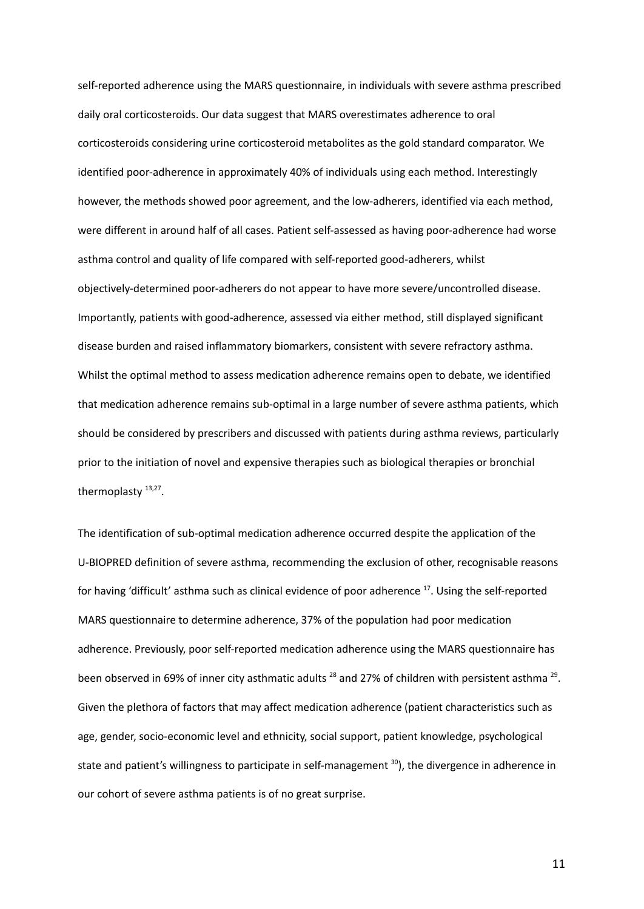self-reported adherence using the MARS questionnaire, in individuals with severe asthma prescribed daily oral corticosteroids. Our data suggest that MARS overestimates adherence to oral corticosteroids considering urine corticosteroid metabolites as the gold standard comparator. We identified poor-adherence in approximately 40% of individuals using each method. Interestingly however, the methods showed poor agreement, and the low-adherers, identified via each method, were different in around half of all cases. Patient self-assessed as having poor-adherence had worse asthma control and quality of life compared with self-reported good-adherers, whilst objectively-determined poor-adherers do not appear to have more severe/uncontrolled disease. Importantly, patients with good-adherence, assessed via either method, still displayed significant disease burden and raised inflammatory biomarkers, consistent with severe refractory asthma. Whilst the optimal method to assess medication adherence remains open to debate, we identified that medication adherence remains sub-optimal in a large number of severe asthma patients, which should be considered by prescribers and discussed with patients during asthma reviews, particularly prior to the initiation of novel and expensive therapies such as biological therapies or bronchial thermoplasty 13,27.

The identification of sub-optimal medication adherence occurred despite the application of the U-BIOPRED definition of severe asthma, recommending the exclusion of other, recognisable reasons for having 'difficult' asthma such as clinical evidence of poor adherence <sup>17</sup>. Using the self-reported MARS questionnaire to determine adherence, 37% of the population had poor medication adherence. Previously, poor self-reported medication adherence using the MARS questionnaire has been observed in 69% of inner city asthmatic adults  $^{28}$  and 27% of children with persistent asthma  $^{29}$ . Given the plethora of factors that may affect medication adherence (patient characteristics such as age, gender, socio-economic level and ethnicity, social support, patient knowledge, psychological state and patient's willingness to participate in self-management 30 ), the divergence in adherence in our cohort of severe asthma patients is of no great surprise.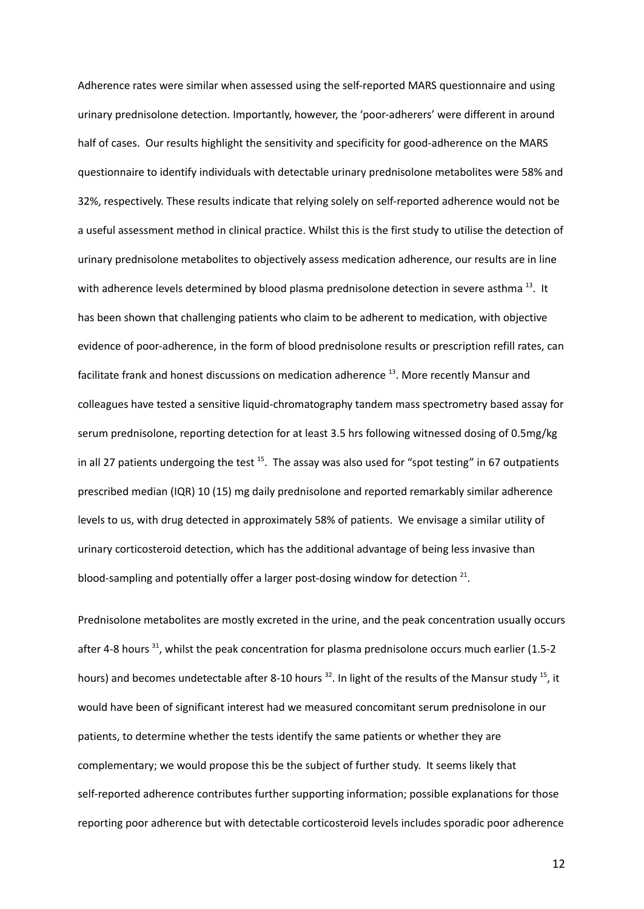Adherence rates were similar when assessed using the self-reported MARS questionnaire and using urinary prednisolone detection. Importantly, however, the 'poor-adherers' were different in around half of cases. Our results highlight the sensitivity and specificity for good-adherence on the MARS questionnaire to identify individuals with detectable urinary prednisolone metabolites were 58% and 32%, respectively. These results indicate that relying solely on self-reported adherence would not be a useful assessment method in clinical practice. Whilst this is the first study to utilise the detection of urinary prednisolone metabolites to objectively assess medication adherence, our results are in line with adherence levels determined by blood plasma prednisolone detection in severe asthma <sup>13</sup>. It has been shown that challenging patients who claim to be adherent to medication, with objective evidence of poor-adherence, in the form of blood prednisolone results or prescription refill rates, can facilitate frank and honest discussions on medication adherence <sup>13</sup>. More recently Mansur and colleagues have tested a sensitive liquid-chromatography tandem mass spectrometry based assay for serum prednisolone, reporting detection for at least 3.5 hrs following witnessed dosing of 0.5mg/kg in all 27 patients undergoing the test <sup>15</sup>. The assay was also used for "spot testing" in 67 outpatients prescribed median (IQR) 10 (15) mg daily prednisolone and reported remarkably similar adherence levels to us, with drug detected in approximately 58% of patients. We envisage a similar utility of urinary corticosteroid detection, which has the additional advantage of being less invasive than blood-sampling and potentially offer a larger post-dosing window for detection  $21$ .

Prednisolone metabolites are mostly excreted in the urine, and the peak concentration usually occurs after 4-8 hours<sup>31</sup>, whilst the peak concentration for plasma prednisolone occurs much earlier (1.5-2 hours) and becomes undetectable after 8-10 hours <sup>32</sup>. In light of the results of the Mansur study <sup>15</sup>, it would have been of significant interest had we measured concomitant serum prednisolone in our patients, to determine whether the tests identify the same patients or whether they are complementary; we would propose this be the subject of further study. It seems likely that self-reported adherence contributes further supporting information; possible explanations for those reporting poor adherence but with detectable corticosteroid levels includes sporadic poor adherence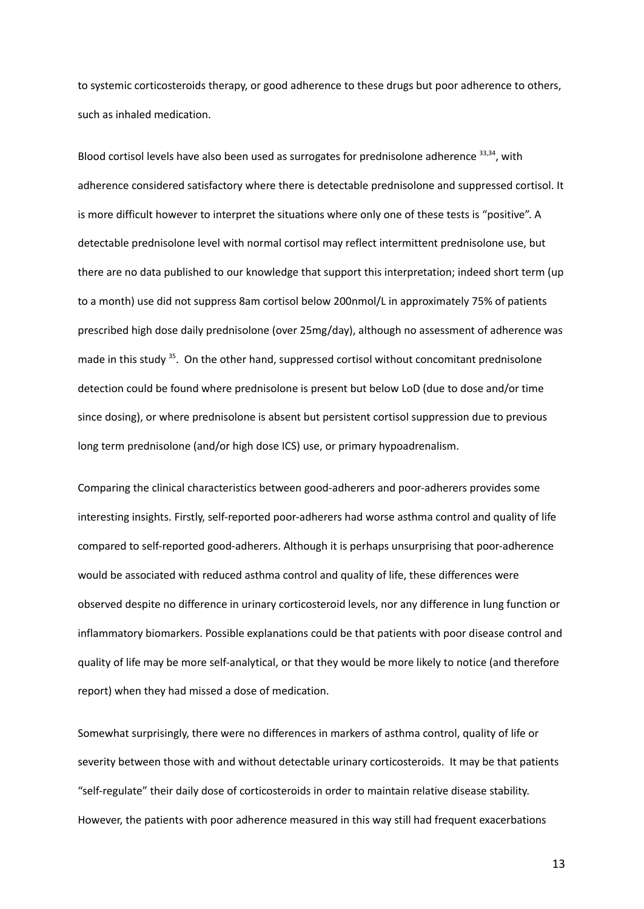to systemic corticosteroids therapy, or good adherence to these drugs but poor adherence to others, such as inhaled medication.

Blood cortisol levels have also been used as surrogates for prednisolone adherence <sup>33,34</sup>, with adherence considered satisfactory where there is detectable prednisolone and suppressed cortisol. It is more difficult however to interpret the situations where only one of these tests is "positive". A detectable prednisolone level with normal cortisol may reflect intermittent prednisolone use, but there are no data published to our knowledge that support this interpretation; indeed short term (up to a month) use did not suppress 8am cortisol below 200nmol/L in approximately 75% of patients prescribed high dose daily prednisolone (over 25mg/day), although no assessment of adherence was made in this study <sup>35</sup>. On the other hand, suppressed cortisol without concomitant prednisolone detection could be found where prednisolone is present but below LoD (due to dose and/or time since dosing), or where prednisolone is absent but persistent cortisol suppression due to previous long term prednisolone (and/or high dose ICS) use, or primary hypoadrenalism.

Comparing the clinical characteristics between good-adherers and poor-adherers provides some interesting insights. Firstly, self-reported poor-adherers had worse asthma control and quality of life compared to self-reported good-adherers. Although it is perhaps unsurprising that poor-adherence would be associated with reduced asthma control and quality of life, these differences were observed despite no difference in urinary corticosteroid levels, nor any difference in lung function or inflammatory biomarkers. Possible explanations could be that patients with poor disease control and quality of life may be more self-analytical, or that they would be more likely to notice (and therefore report) when they had missed a dose of medication.

Somewhat surprisingly, there were no differences in markers of asthma control, quality of life or severity between those with and without detectable urinary corticosteroids. It may be that patients "self-regulate" their daily dose of corticosteroids in order to maintain relative disease stability. However, the patients with poor adherence measured in this way still had frequent exacerbations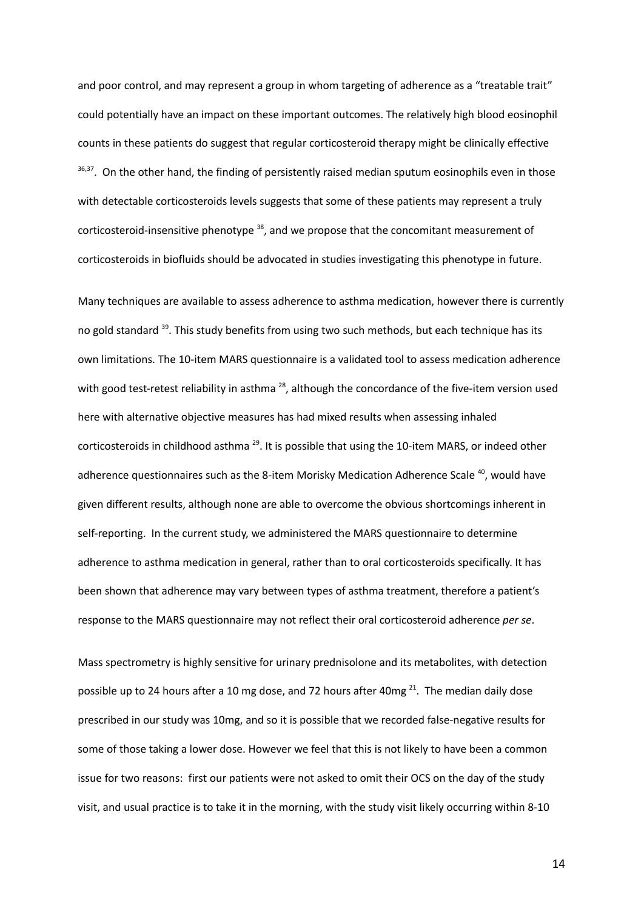and poor control, and may represent a group in whom targeting of adherence as a "treatable trait" could potentially have an impact on these important outcomes. The relatively high blood eosinophil counts in these patients do suggest that regular corticosteroid therapy might be clinically effective <sup>36,37</sup>. On the other hand, the finding of persistently raised median sputum eosinophils even in those with detectable corticosteroids levels suggests that some of these patients may represent a truly corticosteroid-insensitive phenotype <sup>38</sup>, and we propose that the concomitant measurement of corticosteroids in biofluids should be advocated in studies investigating this phenotype in future.

Many techniques are available to assess adherence to asthma medication, however there is currently no gold standard <sup>39</sup>. This study benefits from using two such methods, but each technique has its own limitations. The 10-item MARS questionnaire is a validated tool to assess medication adherence with good test-retest reliability in asthma <sup>28</sup>, although the concordance of the five-item version used here with alternative objective measures has had mixed results when assessing inhaled corticosteroids in childhood asthma <sup>29</sup>. It is possible that using the 10-item MARS, or indeed other adherence questionnaires such as the 8-item Morisky Medication Adherence Scale <sup>40</sup>, would have given different results, although none are able to overcome the obvious shortcomings inherent in self-reporting. In the current study, we administered the MARS questionnaire to determine adherence to asthma medication in general, rather than to oral corticosteroids specifically. It has been shown that adherence may vary between types of asthma treatment, therefore a patient's response to the MARS questionnaire may not reflect their oral corticosteroid adherence *per se*.

Mass spectrometry is highly sensitive for urinary prednisolone and its metabolites, with detection possible up to 24 hours after a 10 mg dose, and 72 hours after 40mg <sup>21</sup>. The median daily dose prescribed in our study was 10mg, and so it is possible that we recorded false-negative results for some of those taking a lower dose. However we feel that this is not likely to have been a common issue for two reasons: first our patients were not asked to omit their OCS on the day of the study visit, and usual practice is to take it in the morning, with the study visit likely occurring within 8-10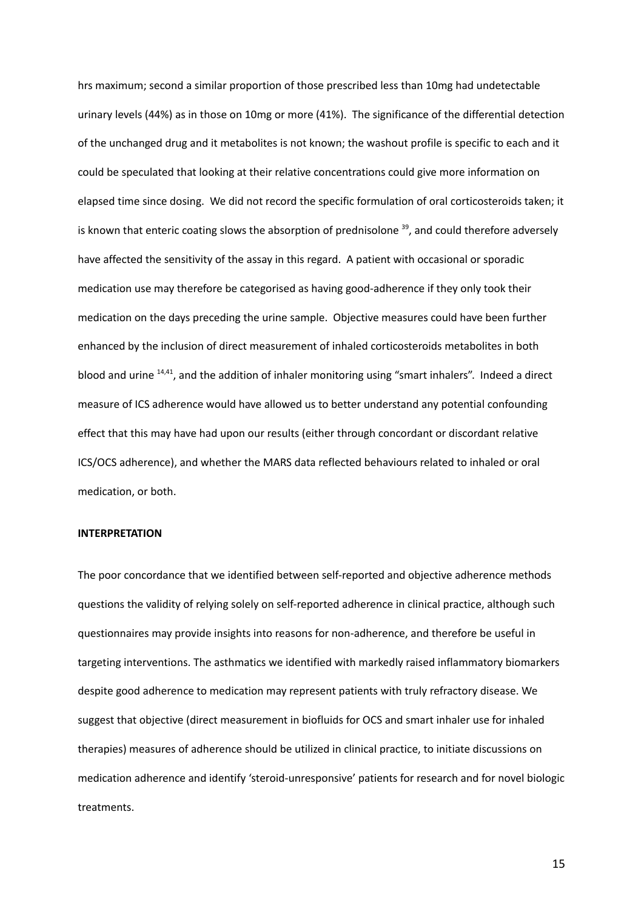hrs maximum; second a similar proportion of those prescribed less than 10mg had undetectable urinary levels (44%) as in those on 10mg or more (41%). The significance of the differential detection of the unchanged drug and it metabolites is not known; the washout profile is specific to each and it could be speculated that looking at their relative concentrations could give more information on elapsed time since dosing. We did not record the specific formulation of oral corticosteroids taken; it is known that enteric coating slows the absorption of prednisolone <sup>39</sup>, and could therefore adversely have affected the sensitivity of the assay in this regard. A patient with occasional or sporadic medication use may therefore be categorised as having good-adherence if they only took their medication on the days preceding the urine sample. Objective measures could have been further enhanced by the inclusion of direct measurement of inhaled corticosteroids metabolites in both blood and urine <sup>14,41</sup>, and the addition of inhaler monitoring using "smart inhalers". Indeed a direct measure of ICS adherence would have allowed us to better understand any potential confounding effect that this may have had upon our results (either through concordant or discordant relative ICS/OCS adherence), and whether the MARS data reflected behaviours related to inhaled or oral medication, or both.

### **INTERPRETATION**

The poor concordance that we identified between self-reported and objective adherence methods questions the validity of relying solely on self-reported adherence in clinical practice, although such questionnaires may provide insights into reasons for non-adherence, and therefore be useful in targeting interventions. The asthmatics we identified with markedly raised inflammatory biomarkers despite good adherence to medication may represent patients with truly refractory disease. We suggest that objective (direct measurement in biofluids for OCS and smart inhaler use for inhaled therapies) measures of adherence should be utilized in clinical practice, to initiate discussions on medication adherence and identify 'steroid-unresponsive' patients for research and for novel biologic treatments.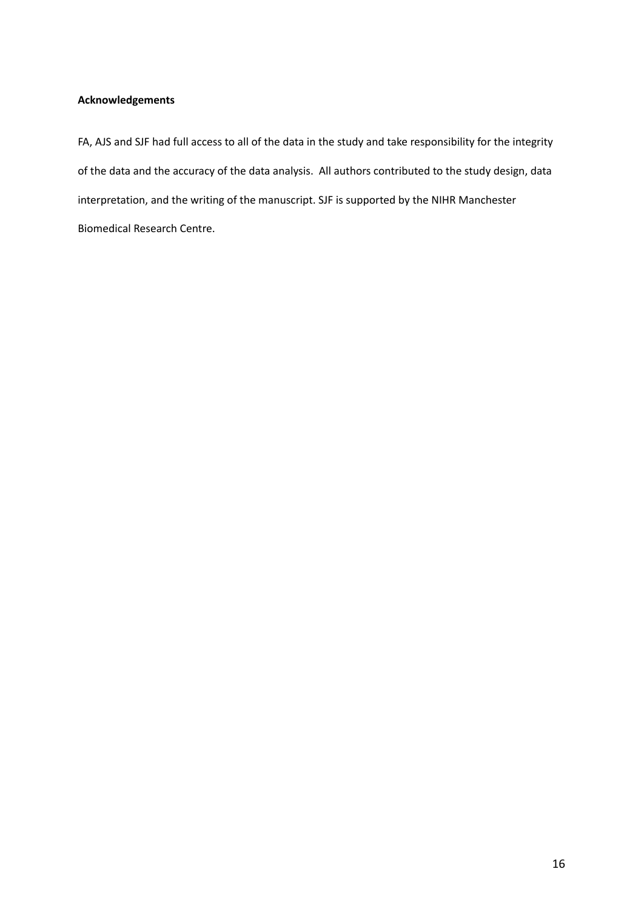# **Acknowledgements**

FA, AJS and SJF had full access to all of the data in the study and take responsibility for the integrity of the data and the accuracy of the data analysis. All authors contributed to the study design, data interpretation, and the writing of the manuscript. SJF is supported by the NIHR Manchester Biomedical Research Centre.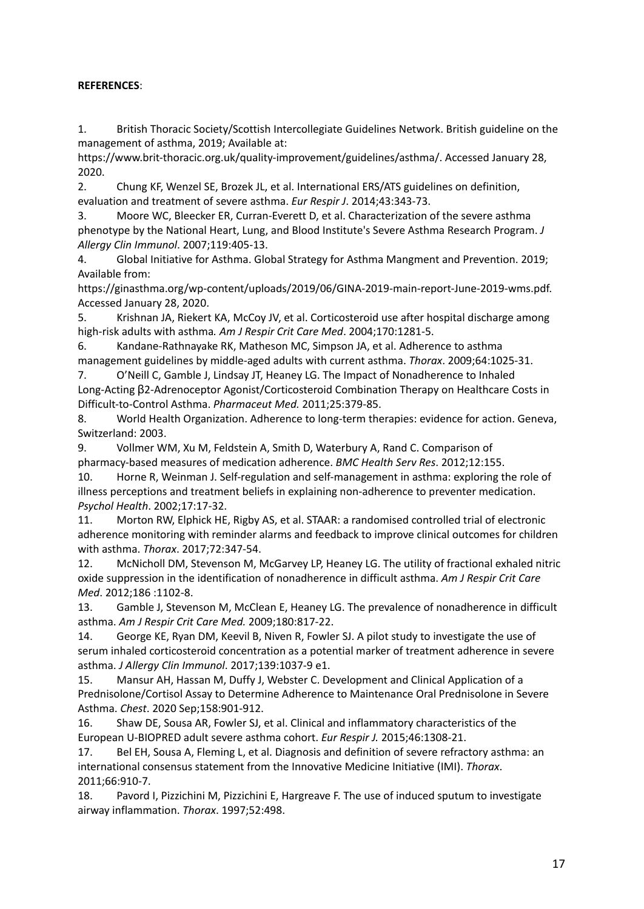# **REFERENCES**:

1. British Thoracic Society/Scottish Intercollegiate Guidelines Network. British guideline on the management of asthma, 2019; Available at:

https://www.brit-thoracic.org.uk/quality-improvement/guidelines/asthma/. Accessed January 28, 2020.

2. Chung KF, Wenzel SE, Brozek JL, et al. International ERS/ATS guidelines on definition, evaluation and treatment of severe asthma. *Eur Respir J*. 2014;43:343-73.

3. Moore WC, Bleecker ER, Curran-Everett D, et al. Characterization of the severe asthma phenotype by the National Heart, Lung, and Blood Institute's Severe Asthma Research Program. *J Allergy Clin Immunol*. 2007;119:405-13.

4. Global Initiative for Asthma. Global Strategy for Asthma Mangment and Prevention. 2019; Available from:

https://ginasthma.org/wp-content/uploads/2019/06/GINA-2019-main-report-June-2019-wms.pdf. Accessed January 28, 2020.

5. Krishnan JA, Riekert KA, McCoy JV, et al. Corticosteroid use after hospital discharge among high-risk adults with asthma*. Am J Respir Crit Care Med*. 2004;170:1281-5.

6. Kandane-Rathnayake RK, Matheson MC, Simpson JA, et al. Adherence to asthma management guidelines by middle-aged adults with current asthma. *Thorax*. 2009;64:1025-31.

7. O'Neill C, Gamble J, Lindsay JT, Heaney LG. The Impact of Nonadherence to Inhaled Long-Acting β2-Adrenoceptor Agonist/Corticosteroid Combination Therapy on Healthcare Costs in Difficult-to-Control Asthma. *Pharmaceut Med.* 2011;25:379-85.

8. World Health Organization. Adherence to long-term therapies: evidence for action. Geneva, Switzerland: 2003.

9. Vollmer WM, Xu M, Feldstein A, Smith D, Waterbury A, Rand C. Comparison of pharmacy-based measures of medication adherence. *BMC Health Serv Res*. 2012;12:155.

10. Horne R, Weinman J. Self-regulation and self-management in asthma: exploring the role of illness perceptions and treatment beliefs in explaining non-adherence to preventer medication. *Psychol Health*. 2002;17:17-32.

11. Morton RW, Elphick HE, Rigby AS, et al. STAAR: a randomised controlled trial of electronic adherence monitoring with reminder alarms and feedback to improve clinical outcomes for children with asthma. *Thorax*. 2017;72:347-54.

12. McNicholl DM, Stevenson M, McGarvey LP, Heaney LG. The utility of fractional exhaled nitric oxide suppression in the identification of nonadherence in difficult asthma. *Am J Respir Crit Care Med*. 2012;186 :1102-8.

13. Gamble J, Stevenson M, McClean E, Heaney LG. The prevalence of nonadherence in difficult asthma. *Am J Respir Crit Care Med.* 2009;180:817-22.

14. George KE, Ryan DM, Keevil B, Niven R, Fowler SJ. A pilot study to investigate the use of serum inhaled corticosteroid concentration as a potential marker of treatment adherence in severe asthma. *J Allergy Clin Immunol*. 2017;139:1037-9 e1.

15. Mansur AH, Hassan M, Duffy J, Webster C. Development and Clinical Application of a Prednisolone/Cortisol Assay to Determine Adherence to Maintenance Oral Prednisolone in Severe Asthma. *Chest*. 2020 Sep;158:901-912.

16. Shaw DE, Sousa AR, Fowler SJ, et al. Clinical and inflammatory characteristics of the European U-BIOPRED adult severe asthma cohort. *Eur Respir J.* 2015;46:1308-21.

17. Bel EH, Sousa A, Fleming L, et al. Diagnosis and definition of severe refractory asthma: an international consensus statement from the Innovative Medicine Initiative (IMI). *Thorax*. 2011;66:910-7.

18. Pavord I, Pizzichini M, Pizzichini E, Hargreave F. The use of induced sputum to investigate airway inflammation. *Thorax*. 1997;52:498.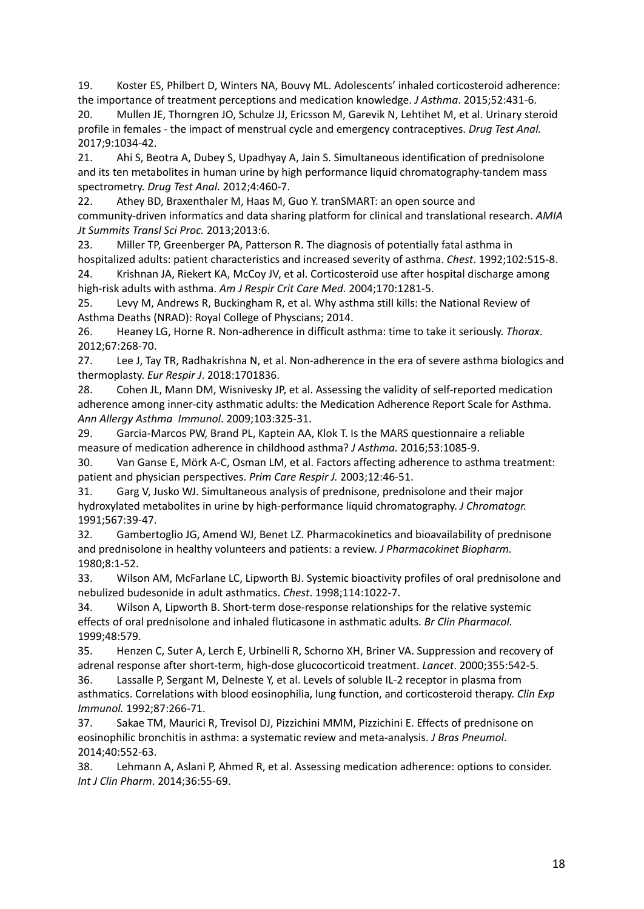19. Koster ES, Philbert D, Winters NA, Bouvy ML. Adolescents' inhaled corticosteroid adherence: the importance of treatment perceptions and medication knowledge. *J Asthma*. 2015;52:431-6.

20. Mullen JE, Thorngren JO, Schulze JJ, Ericsson M, Garevik N, Lehtihet M, et al. Urinary steroid profile in females - the impact of menstrual cycle and emergency contraceptives. *Drug Test Anal.* 2017;9:1034-42.

21. Ahi S, Beotra A, Dubey S, Upadhyay A, Jain S. Simultaneous identification of prednisolone and its ten metabolites in human urine by high performance liquid chromatography-tandem mass spectrometry. *Drug Test Anal.* 2012;4:460-7.

22. Athey BD, Braxenthaler M, Haas M, Guo Y. tranSMART: an open source and community-driven informatics and data sharing platform for clinical and translational research. *AMIA Jt Summits Transl Sci Proc.* 2013;2013:6.

23. Miller TP, Greenberger PA, Patterson R. The diagnosis of potentially fatal asthma in hospitalized adults: patient characteristics and increased severity of asthma. *Chest*. 1992;102:515-8.

24. Krishnan JA, Riekert KA, McCoy JV, et al. Corticosteroid use after hospital discharge among high-risk adults with asthma. *Am J Respir Crit Care Med.* 2004;170:1281-5.

25. Levy M, Andrews R, Buckingham R, et al. Why asthma still kills: the National Review of Asthma Deaths (NRAD): Royal College of Physcians; 2014.

26. Heaney LG, Horne R. Non-adherence in difficult asthma: time to take it seriously. *Thorax*. 2012;67:268-70.

27. Lee J, Tay TR, Radhakrishna N, et al. Non-adherence in the era of severe asthma biologics and thermoplasty. *Eur Respir J*. 2018:1701836.

28. Cohen JL, Mann DM, Wisnivesky JP, et al. Assessing the validity of self-reported medication adherence among inner-city asthmatic adults: the Medication Adherence Report Scale for Asthma. *Ann Allergy Asthma Immunol*. 2009;103:325-31.

29. Garcia-Marcos PW, Brand PL, Kaptein AA, Klok T. Is the MARS questionnaire a reliable measure of medication adherence in childhood asthma? *J Asthma.* 2016;53:1085-9.

30. Van Ganse E, Mörk A-C, Osman LM, et al. Factors affecting adherence to asthma treatment: patient and physician perspectives. *Prim Care Respir J.* 2003;12:46-51.

31. Garg V, Jusko WJ. Simultaneous analysis of prednisone, prednisolone and their major hydroxylated metabolites in urine by high-performance liquid chromatography. *J Chromatogr.* 1991;567:39-47.

32. Gambertoglio JG, Amend WJ, Benet LZ. Pharmacokinetics and bioavailability of prednisone and prednisolone in healthy volunteers and patients: a review. *J Pharmacokinet Biopharm.* 1980;8:1-52.

33. Wilson AM, McFarlane LC, Lipworth BJ. Systemic bioactivity profiles of oral prednisolone and nebulized budesonide in adult asthmatics. *Chest*. 1998;114:1022-7.

34. Wilson A, Lipworth B. Short-term dose-response relationships for the relative systemic effects of oral prednisolone and inhaled fluticasone in asthmatic adults. *Br Clin Pharmacol.* 1999;48:579.

35. Henzen C, Suter A, Lerch E, Urbinelli R, Schorno XH, Briner VA. Suppression and recovery of adrenal response after short-term, high-dose glucocorticoid treatment. *Lancet*. 2000;355:542-5. 36. Lassalle P, Sergant M, Delneste Y, et al. Levels of soluble IL‐2 receptor in plasma from asthmatics. Correlations with blood eosinophilia, lung function, and corticosteroid therapy. *Clin Exp*

*Immunol.* 1992;87:266-71.

37. Sakae TM, Maurici R, Trevisol DJ, Pizzichini MMM, Pizzichini E. Effects of prednisone on eosinophilic bronchitis in asthma: a systematic review and meta-analysis. *J Bras Pneumol*. 2014;40:552-63.

38. Lehmann A, Aslani P, Ahmed R, et al. Assessing medication adherence: options to consider. *Int J Clin Pharm*. 2014;36:55-69.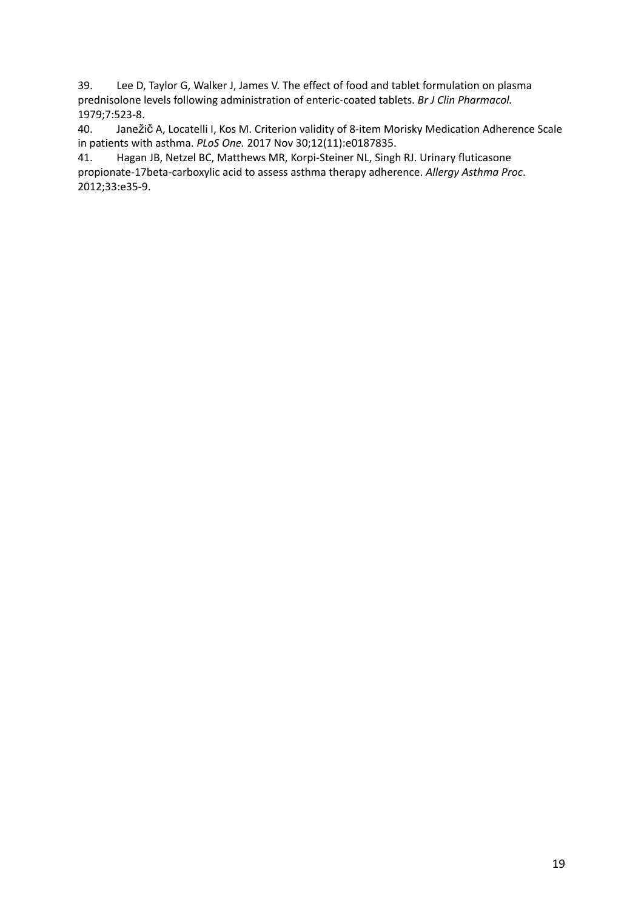39. Lee D, Taylor G, Walker J, James V. The effect of food and tablet formulation on plasma prednisolone levels following administration of enteric‐coated tablets. *Br J Clin Pharmacol.* 1979;7:523-8.

40. Janežič A, Locatelli I, Kos M. Criterion validity of 8-item Morisky Medication Adherence Scale in patients with asthma. *PLoS One.* 2017 Nov 30;12(11):e0187835.

41. Hagan JB, Netzel BC, Matthews MR, Korpi-Steiner NL, Singh RJ. Urinary fluticasone propionate-17beta-carboxylic acid to assess asthma therapy adherence. *Allergy Asthma Proc*. 2012;33:e35-9.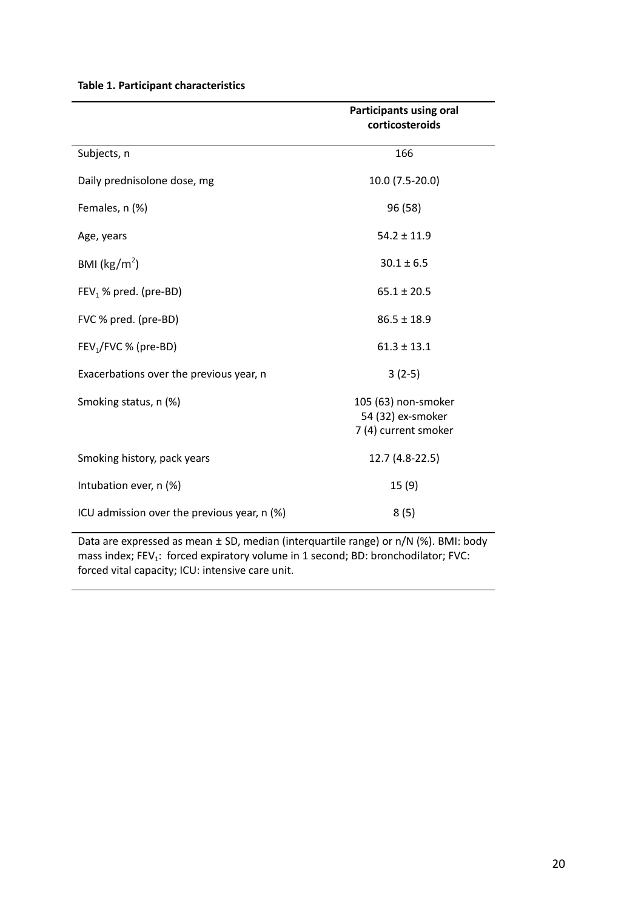|                                             | <b>Participants using oral</b><br>corticosteroids                |
|---------------------------------------------|------------------------------------------------------------------|
| Subjects, n                                 | 166                                                              |
| Daily prednisolone dose, mg                 | 10.0 (7.5-20.0)                                                  |
| Females, n (%)                              | 96 (58)                                                          |
| Age, years                                  | $54.2 \pm 11.9$                                                  |
| BMI ( $\text{kg/m}^2$ )                     | $30.1 \pm 6.5$                                                   |
| $FEV1$ % pred. (pre-BD)                     | $65.1 \pm 20.5$                                                  |
| FVC % pred. (pre-BD)                        | $86.5 \pm 18.9$                                                  |
| FEV <sub>1</sub> /FVC % (pre-BD)            | $61.3 \pm 13.1$                                                  |
| Exacerbations over the previous year, n     | $3(2-5)$                                                         |
| Smoking status, n (%)                       | 105 (63) non-smoker<br>54 (32) ex-smoker<br>7 (4) current smoker |
| Smoking history, pack years                 | 12.7 (4.8-22.5)                                                  |
| Intubation ever, n (%)                      | 15(9)                                                            |
| ICU admission over the previous year, n (%) | 8(5)                                                             |

**Table 1. Participant characteristics**

Data are expressed as mean ± SD, median (interquartile range) or n/N (%). BMI: body mass index;  $FEV_1$ : forced expiratory volume in 1 second; BD: bronchodilator; FVC: forced vital capacity; ICU: intensive care unit.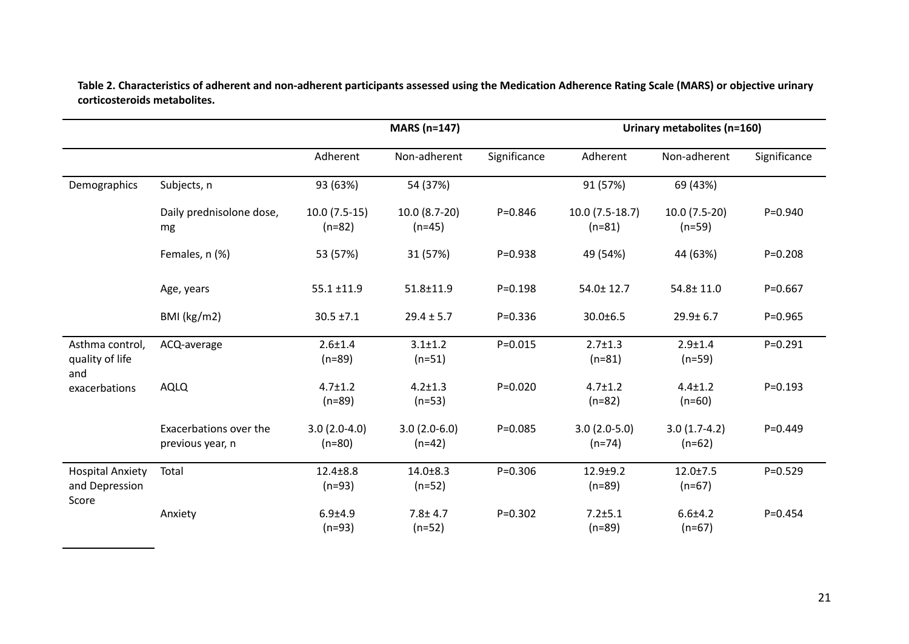Table 2. Characteristics of adherent and non-adherent participants assessed using the Medication Adherence Rating Scale (MARS) or objective urinary **corticosteroids metabolites.**

|                                                    |                                            | <b>MARS (n=147)</b>        |                            |              | Urinary metabolites (n=160)  |                            |              |
|----------------------------------------------------|--------------------------------------------|----------------------------|----------------------------|--------------|------------------------------|----------------------------|--------------|
|                                                    |                                            | Adherent                   | Non-adherent               | Significance | Adherent                     | Non-adherent               | Significance |
| Demographics                                       | Subjects, n                                | 93 (63%)                   | 54 (37%)                   |              | 91 (57%)                     | 69 (43%)                   |              |
|                                                    | Daily prednisolone dose,<br>mg             | $10.0(7.5-15)$<br>$(n=82)$ | 10.0 (8.7-20)<br>$(n=45)$  | $P = 0.846$  | $10.0(7.5-18.7)$<br>$(n=81)$ | $10.0(7.5-20)$<br>$(n=59)$ | $P = 0.940$  |
|                                                    | Females, n (%)                             | 53 (57%)                   | 31 (57%)                   | $P = 0.938$  | 49 (54%)                     | 44 (63%)                   | $P = 0.208$  |
|                                                    | Age, years                                 | $55.1 \pm 11.9$            | 51.8±11.9                  | $P = 0.198$  | 54.0±12.7                    | 54.8± 11.0                 | $P = 0.667$  |
|                                                    | BMI (kg/m2)                                | $30.5 \pm 7.1$             | $29.4 \pm 5.7$             | $P = 0.336$  | $30.0 \pm 6.5$               | $29.9 \pm 6.7$             | $P = 0.965$  |
| Asthma control,<br>quality of life<br>and          | ACQ-average                                | $2.6 + 1.4$<br>$(n=89)$    | $3.1 \pm 1.2$<br>$(n=51)$  | $P = 0.015$  | $2.7 \pm 1.3$<br>$(n=81)$    | $2.9 + 1.4$<br>$(n=59)$    | $P = 0.291$  |
| exacerbations                                      | <b>AQLQ</b>                                | $4.7 \pm 1.2$<br>$(n=89)$  | $4.2 \pm 1.3$<br>$(n=53)$  | $P = 0.020$  | $4.7 \pm 1.2$<br>$(n=82)$    | $4.4 \pm 1.2$<br>$(n=60)$  | $P = 0.193$  |
|                                                    | Exacerbations over the<br>previous year, n | $3.0(2.0-4.0)$<br>$(n=80)$ | $3.0(2.0-6.0)$<br>$(n=42)$ | $P = 0.085$  | $3.0(2.0-5.0)$<br>$(n=74)$   | $3.0(1.7-4.2)$<br>$(n=62)$ | $P = 0.449$  |
| <b>Hospital Anxiety</b><br>and Depression<br>Score | Total                                      | $12.4 \pm 8.8$<br>$(n=93)$ | $14.0 \pm 8.3$<br>$(n=52)$ | $P = 0.306$  | $12.9 + 9.2$<br>$(n=89)$     | $12.0 \pm 7.5$<br>$(n=67)$ | $P = 0.529$  |
|                                                    | Anxiety                                    | $6.9 + 4.9$<br>$(n=93)$    | $7.8 \pm 4.7$<br>$(n=52)$  | $P = 0.302$  | $7.2 + 5.1$<br>$(n=89)$      | $6.6 + 4.2$<br>$(n=67)$    | $P = 0.454$  |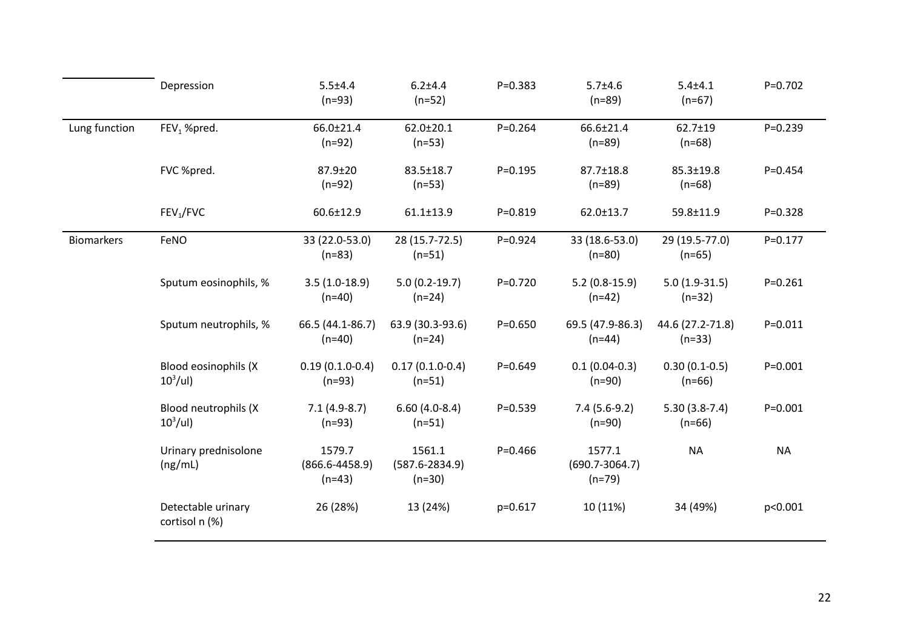|                   | Depression                           | $5.5 + 4.4$<br>$(n=93)$                  | $6.2 + 4.4$<br>$(n=52)$                  | $P = 0.383$ | $5.7 + 4.6$<br>$(n=89)$                  | $5.4 + 4.1$<br>$(n=67)$      | $P = 0.702$ |
|-------------------|--------------------------------------|------------------------------------------|------------------------------------------|-------------|------------------------------------------|------------------------------|-------------|
| Lung function     | FEV <sub>1</sub> %pred.              | 66.0±21.4<br>$(n=92)$                    | $62.0 \pm 20.1$<br>$(n=53)$              | $P = 0.264$ | 66.6±21.4<br>$(n=89)$                    | 62.7±19<br>$(n=68)$          | $P = 0.239$ |
|                   | FVC %pred.                           | 87.9±20<br>$(n=92)$                      | 83.5±18.7<br>$(n=53)$                    | $P = 0.195$ | 87.7±18.8<br>$(n=89)$                    | $85.3 \pm 19.8$<br>$(n=68)$  | $P = 0.454$ |
|                   | FEV <sub>1</sub> /FVC                | $60.6 \pm 12.9$                          | $61.1 \pm 13.9$                          | $P = 0.819$ | $62.0 \pm 13.7$                          | 59.8±11.9                    | $P = 0.328$ |
| <b>Biomarkers</b> | FeNO                                 | 33 (22.0-53.0)<br>$(n=83)$               | 28 (15.7-72.5)<br>$(n=51)$               | $P = 0.924$ | 33 (18.6-53.0)<br>$(n=80)$               | 29 (19.5-77.0)<br>$(n=65)$   | $P = 0.177$ |
|                   | Sputum eosinophils, %                | $3.5(1.0-18.9)$<br>$(n=40)$              | $5.0(0.2-19.7)$<br>$(n=24)$              | $P=0.720$   | $5.2(0.8-15.9)$<br>$(n=42)$              | $5.0(1.9-31.5)$<br>$(n=32)$  | $P = 0.261$ |
|                   | Sputum neutrophils, %                | 66.5 (44.1-86.7)<br>$(n=40)$             | 63.9 (30.3-93.6)<br>$(n=24)$             | $P = 0.650$ | 69.5 (47.9-86.3)<br>$(n=44)$             | 44.6 (27.2-71.8)<br>$(n=33)$ | $P = 0.011$ |
|                   | Blood eosinophils (X<br>$10^3$ /ul)  | $0.19(0.1.0-0.4)$<br>$(n=93)$            | $0.17(0.1.0-0.4)$<br>$(n=51)$            | $P = 0.649$ | $0.1(0.04-0.3)$<br>$(n=90)$              | $0.30(0.1-0.5)$<br>$(n=66)$  | $P = 0.001$ |
|                   | Blood neutrophils (X<br>$10^3$ /ul)  | $7.1(4.9-8.7)$<br>$(n=93)$               | $6.60(4.0-8.4)$<br>$(n=51)$              | $P = 0.539$ | $7.4(5.6-9.2)$<br>$(n=90)$               | $5.30(3.8-7.4)$<br>$(n=66)$  | $P = 0.001$ |
|                   | Urinary prednisolone<br>(ng/mL)      | 1579.7<br>$(866.6 - 4458.9)$<br>$(n=43)$ | 1561.1<br>$(587.6 - 2834.9)$<br>$(n=30)$ | $P = 0.466$ | 1577.1<br>$(690.7 - 3064.7)$<br>$(n=79)$ | <b>NA</b>                    | <b>NA</b>   |
|                   | Detectable urinary<br>cortisol n (%) | 26 (28%)                                 | 13 (24%)                                 | p=0.617     | 10 (11%)                                 | 34 (49%)                     | p<0.001     |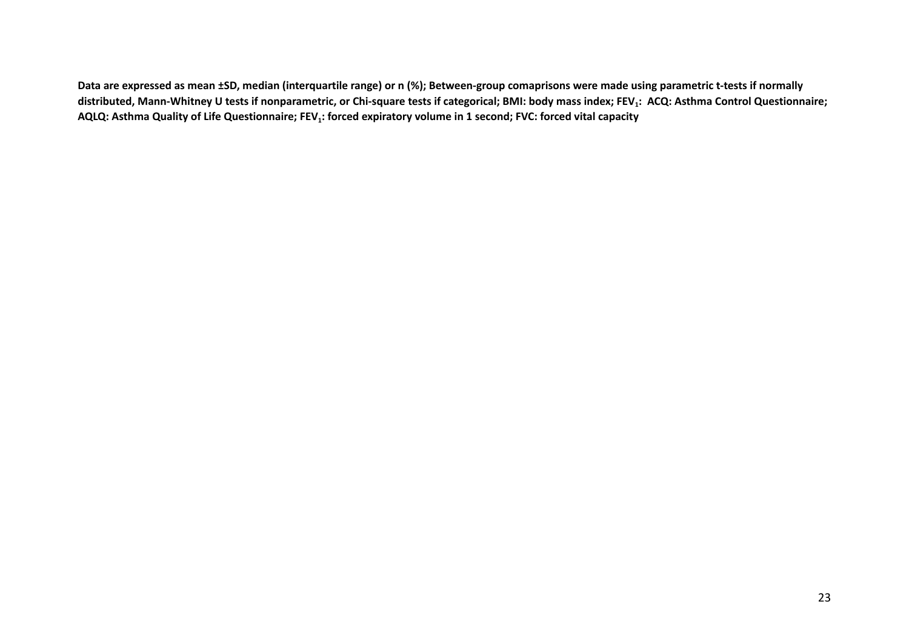Data are expressed as mean ±SD, median (interquartile range) or n (%); Between-group comaprisons were made using parametric t-tests if normally distributed, Mann-Whitney U tests if nonparametric, or Chi-square tests if categorical; BMI: body mass index; FEV<sub>1</sub>: ACQ: Asthma Control Questionnaire; AQLQ: Asthma Quality of Life Questionnaire; FEV<sub>1</sub>: forced expiratory volume in 1 second; FVC: forced vital capacity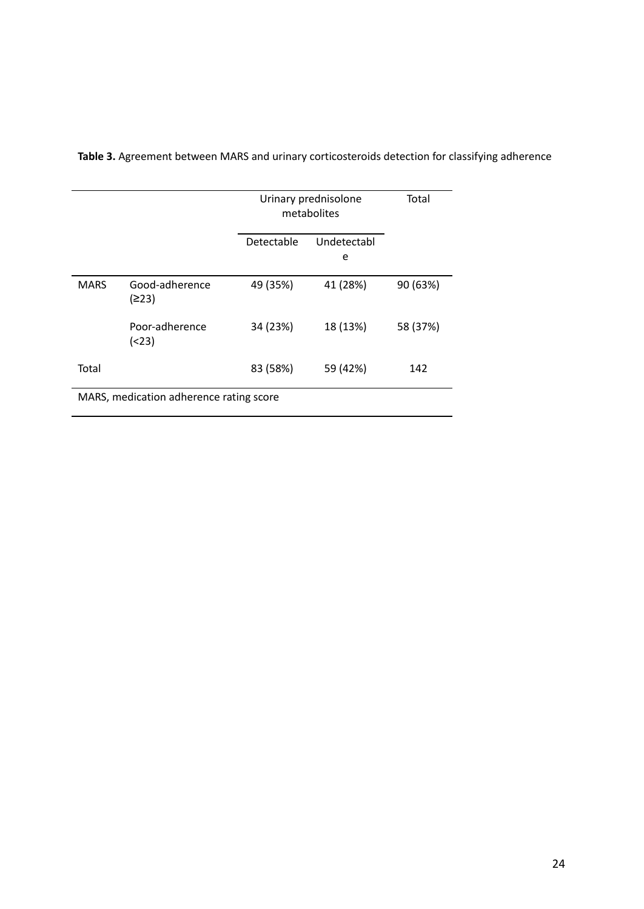|                                         |                         | Urinary prednisolone<br>metabolites |                  | Total    |  |
|-----------------------------------------|-------------------------|-------------------------------------|------------------|----------|--|
|                                         |                         | Detectable                          | Undetectabl<br>e |          |  |
| <b>MARS</b>                             | Good-adherence<br>(≥23) | 49 (35%)                            | 41 (28%)         | 90 (63%) |  |
|                                         | Poor-adherence<br>(23)  | 34 (23%)                            | 18 (13%)         | 58 (37%) |  |
| Total                                   |                         | 83 (58%)                            | 59 (42%)         | 142      |  |
| MARS, medication adherence rating score |                         |                                     |                  |          |  |

**Table 3.** Agreement between MARS and urinary corticosteroids detection for classifying adherence